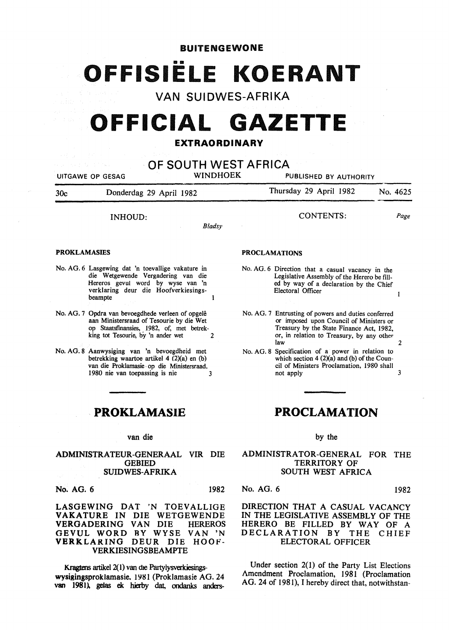# BUITENGEWONE

# •• OFFISIELE **KOERANT**

VAN SUIDWES-AFRIKA

# OFFICIAL **GAZETTE**

# EXTRAORDINARY

| OF SOUTH WEST AFRICA<br><b>WINDHOEK</b><br>UITGAWE OP GESAG<br>PUBLISHED BY AUTHORITY                |                                                                                                                                                                                       |                                                                                                                                                                                                     |
|------------------------------------------------------------------------------------------------------|---------------------------------------------------------------------------------------------------------------------------------------------------------------------------------------|-----------------------------------------------------------------------------------------------------------------------------------------------------------------------------------------------------|
| 30c                                                                                                  | Donderdag 29 April 1982                                                                                                                                                               | Thursday 29 April 1982<br>No. 4625                                                                                                                                                                  |
|                                                                                                      | INHOUD:<br><b>Bladsy</b>                                                                                                                                                              | CONTENTS:<br>Page                                                                                                                                                                                   |
| <b>PROKLAMASIES</b>                                                                                  |                                                                                                                                                                                       | <b>PROCLAMATIONS</b>                                                                                                                                                                                |
|                                                                                                      | No. AG. 6 Lasgewing dat 'n toevallige vakature in<br>die Wetgewende Vergadering van die<br>Hereros gevul word by wyse van 'n<br>verklaring deur die Hoofverkiesings-<br>beampte.      | No. AG. 6 Direction that a casual vacancy in the<br>Legislative Assembly of the Herero be fill-<br>ed by way of a declaration by the Chief<br>Electoral Officer<br>1                                |
|                                                                                                      | No. AG. 7 Opdra van bevoegdhede verleen of opgelê<br>aan Ministersraad of Tesourie by die Wet<br>op Staatsfinansies, 1982, of, met betrek-<br>king tot Tesourie, by 'n ander wet<br>2 | No. AG. 7 Entrusting of powers and duties conferred<br>or imposed upon Council of Ministers or<br>Treasury by the State Finance Act, 1982,<br>or, in relation to Treasury, by any other<br>law<br>2 |
|                                                                                                      | No. AG. 8 Aanwysiging van 'n bevoegdheid met<br>betrekking waartoe artikel 4 (2)(a) en (b)<br>van die Proklamasie op die Ministersraad.<br>1980 nie van toepassing is nie<br>3        | No. AG. 8 Specification of a power in relation to<br>which section $4(2)(a)$ and (b) of the Coun-<br>cil of Ministers Proclamation, 1980 shall<br>3<br>not apply                                    |
|                                                                                                      |                                                                                                                                                                                       |                                                                                                                                                                                                     |
| PROKLAMASIE                                                                                          |                                                                                                                                                                                       | <b>PROCLAMATION</b>                                                                                                                                                                                 |
|                                                                                                      | van die                                                                                                                                                                               | by the                                                                                                                                                                                              |
|                                                                                                      | ADMINISTRATEUR-GENERAAL<br>VIR DIE<br><b>GEBIED</b><br><b>SUIDWES-AFRIKA</b>                                                                                                          | ADMINISTRATOR-GENERAL FOR<br><b>THE</b><br><b>TERRITORY OF</b><br>SOUTH WEST AFRICA                                                                                                                 |
| No. AG. 6                                                                                            | 1982                                                                                                                                                                                  | No. AG. 6<br>1982                                                                                                                                                                                   |
|                                                                                                      | LASGEWING DAT 'N TOEVALLIGE<br>VAKATURE IN DIE WETGEWENDE<br>VERGADERING VAN DIE<br><b>HEREROS</b><br>GEVUL WORD BY WYSE<br>VAN 'N<br>VERKLARING DEUR DIE HOOF-<br>VERKIESINGSBEAMPTE | DIRECTION THAT A CASUAL VACANCY<br>IN THE LEGISLATIVE ASSEMBLY OF THE<br>HERERO BE FILLED BY WAY OF A<br>DECLARATION BY THE<br><b>CHIEF</b><br><b>ELECTORAL OFFICER</b>                             |
| Kragtens artikel 2(1) van die Partylysverkiesings-<br>wysigingsproklamasie. 1981 (Proklamasie AG. 24 |                                                                                                                                                                                       | Under section $2(1)$ of the Party List Elections<br>Amendment Proclamation, 1981 (Proclamation                                                                                                      |

AG. 24 of 1981), I hereby direct that, notwithstan-

wysigingsproklamasie. 1981 (Proklamasie AG. 24 van 1981). gelas ek hierby dat, ondanks anders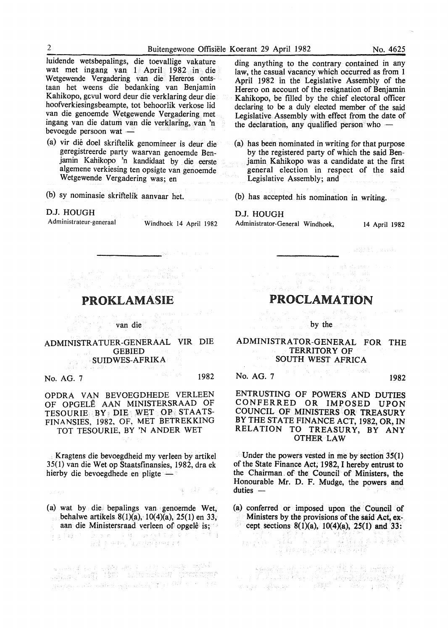luidende wetsbepalings, die toevallige vakature wat met ingang van 1 April 1982 in die Wetgewende Vergadering van die Hereros ontstaan het weens die bedanking van Benjamin Kahikopo, gcvul word deur die verklaring deur die hoofverkiesingsbeampte, tot behoorlik verkose lid van die genoemde Wetgewende Vergadering met ingang van die datum van die verklaring, van 'n bevoegde persoon wat  $-$ 

- (a) vir die doel skriftelik genomineer is deur die geregistreerde party waarvan genoemde Benjamin Kahikopo 'n kandidaat by die eerste algemene verkiesing ten opsigte van genoemde Wetgewende Vergadering was; en
- (b) sy nominasie skriftelik aanvaar het.

### D.J. HOUGH

Administrateur-generaal Windhoek 14 April 1982

ding anything to the contrary contained in any law, the casual vacancy which occurred as from 1 April 1982 in the Legislative Assembly of the Herero on account of the resignation of Benjamin Kahikopo, be tilled by the chief electoral officer declaring to be a duly elected member of the said Legislative Assembly with effect from the date of the declaration, any qualified person who  $-$ 

(a) has been nominated in writing for that purpose by the registered party of which the said Benjamin Kahikopo was a candidate at the first general election in respect of the said Legislative Assembly: and

(b) has accepted his nomination in writing.

# D.J. HOUGH

Administrator-General Windhoek, 14 April 1982

 $\label{eq:2.1} \begin{split} \mathcal{L}^{\text{L}}(\mathcal{E}) & = \mathcal{L}^{\text{L}}(\mathcal{E}) \mathcal{E}^{\text{L}}(\mathcal{E}) \\ \mathcal{E}^{\text{L}}(\mathcal{E}) & = \mathcal{E}^{\text{L}}(\mathcal{E}) \mathcal{E}^{\text{L}}(\mathcal{E}) \mathcal{E}^{\text{L}}(\mathcal{E}) \\ \mathcal{E}^{\text{L}}(\mathcal{E}) & = \mathcal{E}^{\text{L}}(\mathcal{E}) \mathcal{E}^{\text{L}}(\mathcal{E}) \mathcal{E}^{\text{L}}(\mathcal{E})$ **PROKLAMASIE** 

van die

ADMINISTRATUER-GENERAAL VIR DIE **GEBIED** SUIDWES-AFRIKA

No. AG. 7 1982

OPDRA VAN BEVOEGDHEDE VERLEEN OF OPGELE AAN MINISTERSRAAD OF TESOURIE BY. DIE WET OP. STAATS-FINANSIES, 1982, OF, MET BETREKKING TOT TESOURIE, BY 'N ANDER WET

Kragtens die bevoegdheid my verleen by artikel 35(1) van die Wetop Staatstinansies, 1982, dra ek hierby die bevoegdhede en pligte -

波 异孔 逆。  $\gamma_{\mu\nu} \lesssim \delta_{\mu\nu} \delta_{\nu}$ 

(a) wat by die, bepalings van genoemde Wet, behalwe artikels.  $8(1)(a)$ ,  $10(4)(a)$ ,  $25(1)$  en 33, aan die Ministersraad verleen of opgele is;

hangan bir dahibat birlangi bengaji gerek Mediter (eli BA)

# PROCLAMATION

Particularly State 198

by the second second second second second second second second second second second second second second second second second second second second second second second second second second second second second second secon

# ADMINISTRATOR-GENERAL FOR THE TERRITORY OF SOUTH WEST AFRICA

No. AG. 7 **1982 No. 46. 7 1982** 

ENTRUSTING OF POWERS AND DUTIES CONFERRED OR IMPOSED UPON COUNCIL OF MINISTERS OR TREASURY BY THE STATE FINANCE ACT, 1982, OR, IN RELATION TO TREASURY, BY ANY OTHER LAW

Under the powers vested in me by section 35(1) of the State Finance Act; 1982, I hereby entrust to the Chairman . of the Council of Ministers, the Honourable Mr. D. F. Mudge, the powers and  $duties -$ 

(a) conferred or imposed upon the Council of Ministers by the provisions of the said Act, ex-

cept sections 8(1)(a), 10(4)(a), 25(1) and 33:<br> $\frac{1}{25}$